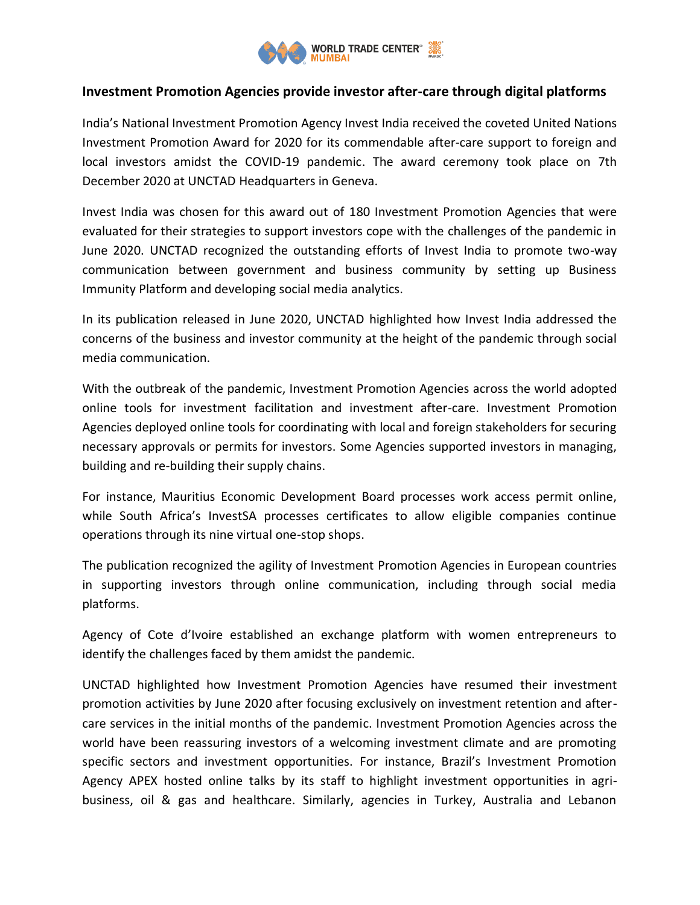

## **Investment Promotion Agencies provide investor after-care through digital platforms**

India's National Investment Promotion Agency Invest India received the coveted United Nations Investment Promotion Award for 2020 for its commendable after-care support to foreign and local investors amidst the COVID-19 pandemic. The award ceremony took place on 7th December 2020 at UNCTAD Headquarters in Geneva.

Invest India was chosen for this award out of 180 Investment Promotion Agencies that were evaluated for their strategies to support investors cope with the challenges of the pandemic in June 2020. UNCTAD recognized the outstanding efforts of Invest India to promote two-way communication between government and business community by setting up Business Immunity Platform and developing social media analytics.

In its publication released in June 2020, UNCTAD highlighted how Invest India addressed the concerns of the business and investor community at the height of the pandemic through social media communication.

With the outbreak of the pandemic, Investment Promotion Agencies across the world adopted online tools for investment facilitation and investment after-care. Investment Promotion Agencies deployed online tools for coordinating with local and foreign stakeholders for securing necessary approvals or permits for investors. Some Agencies supported investors in managing, building and re-building their supply chains.

For instance, Mauritius Economic Development Board processes work access permit online, while South Africa's InvestSA processes certificates to allow eligible companies continue operations through its nine virtual one-stop shops.

The publication recognized the agility of Investment Promotion Agencies in European countries in supporting investors through online communication, including through social media platforms.

Agency of Cote d'Ivoire established an exchange platform with women entrepreneurs to identify the challenges faced by them amidst the pandemic.

UNCTAD highlighted how Investment Promotion Agencies have resumed their investment promotion activities by June 2020 after focusing exclusively on investment retention and aftercare services in the initial months of the pandemic. Investment Promotion Agencies across the world have been reassuring investors of a welcoming investment climate and are promoting specific sectors and investment opportunities. For instance, Brazil's Investment Promotion Agency APEX hosted online talks by its staff to highlight investment opportunities in agribusiness, oil & gas and healthcare. Similarly, agencies in Turkey, Australia and Lebanon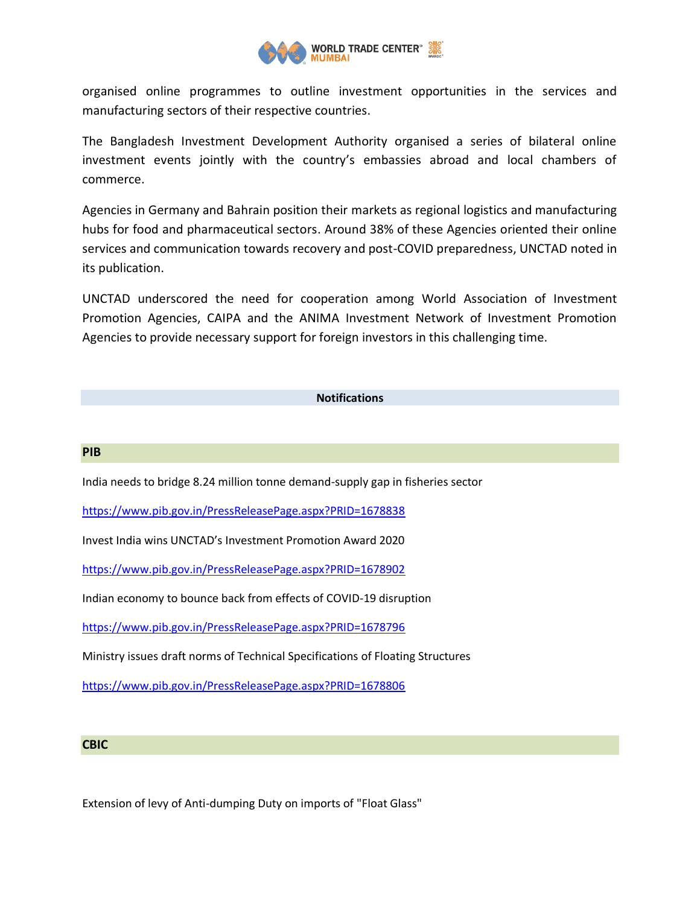

organised online programmes to outline investment opportunities in the services and manufacturing sectors of their respective countries.

The Bangladesh Investment Development Authority organised a series of bilateral online investment events jointly with the country's embassies abroad and local chambers of commerce.

Agencies in Germany and Bahrain position their markets as regional logistics and manufacturing hubs for food and pharmaceutical sectors. Around 38% of these Agencies oriented their online services and communication towards recovery and post-COVID preparedness, UNCTAD noted in its publication.

UNCTAD underscored the need for cooperation among World Association of Investment Promotion Agencies, CAIPA and the ANIMA Investment Network of Investment Promotion Agencies to provide necessary support for foreign investors in this challenging time.

## **Notifications**

## **PIB**

India needs to bridge 8.24 million tonne demand-supply gap in fisheries sector

<https://www.pib.gov.in/PressReleasePage.aspx?PRID=1678838>

Invest India wins UNCTAD's Investment Promotion Award 2020

<https://www.pib.gov.in/PressReleasePage.aspx?PRID=1678902>

Indian economy to bounce back from effects of COVID-19 disruption

<https://www.pib.gov.in/PressReleasePage.aspx?PRID=1678796>

Ministry issues draft norms of Technical Specifications of Floating Structures

<https://www.pib.gov.in/PressReleasePage.aspx?PRID=1678806>

## **CBIC**

Extension of levy of Anti-dumping Duty on imports of "Float Glass"